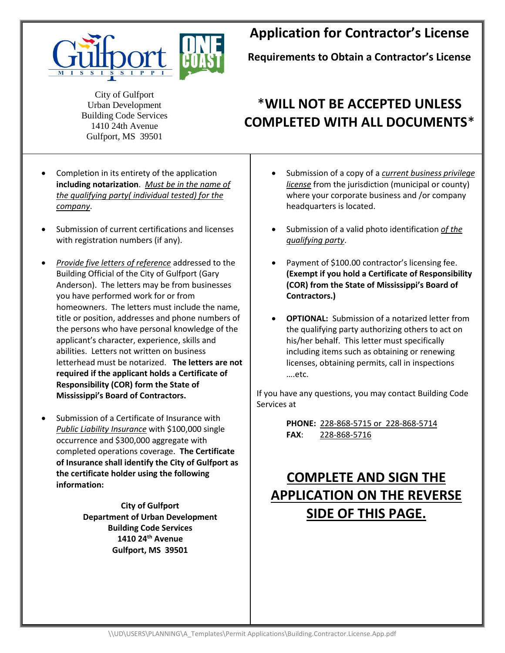

## **Application for Contractor's License**

**Requirements to Obtain a Contractor's License**

City of Gulfport Urban Development Building Code Services 1410 24th Avenue Gulfport, MS 39501

## \***WILL NOT BE ACCEPTED UNLESS COMPLETED WITH ALL DOCUMENTS**\*

- Completion in its entirety of the application **including notarization**. *Must be in the name of*  **the qualifying party( individual tested) for the** *company*. Gulfport, MS 39501
	- Submission of current certifications and licenses with registration numbers (if any).
	- *Provide five letters of reference* addressed to the Building Official of the City of Gulfport (Gary Anderson). The letters may be from businesses you have performed work for or from homeowners. The letters must include the name, title or position, addresses and phone numbers of the persons who have personal knowledge of the applicant's character, experience, skills and abilities. Letters not written on business letterhead must be notarized. **The letters are not required if the applicant holds a Certificate of Responsibility (COR) form the State of Mississippi's Board of Contractors.**
	- Submission of a Certificate of Insurance with *Public Liability Insurance* with \$100,000 single occurrence and \$300,000 aggregate with completed operations coverage. **The Certificate of Insurance shall identify the City of Gulfport as the certificate holder using the following information:**

**City of Gulfport Department of Urban Development Building Code Services 1410 24th Avenue Gulfport, MS 39501**

- Submission of a copy of a *current business privilege license* from the jurisdiction (municipal or county) where your corporate business and /or company headquarters is located.
- Submission of a valid photo identification *of the qualifying party*.
- Payment of \$100.00 contractor's licensing fee. **(Exempt if you hold a Certificate of Responsibility (COR) from the State of Mississippi's Board of Contractors.)**
- **OPTIONAL:** Submission of a notarized letter from the qualifying party authorizing others to act on his/her behalf. This letter must specifically including items such as obtaining or renewing licenses, obtaining permits, call in inspections ….etc.

If you have any questions, you may contact Building Code Services at

> **PHONE:** 228-868-5715 or 228-868-5714 **FAX**: 228-868-5716

## **COMPLETE AND SIGN THE APPLICATION ON THE REVERSE SIDE OF THIS PAGE.**